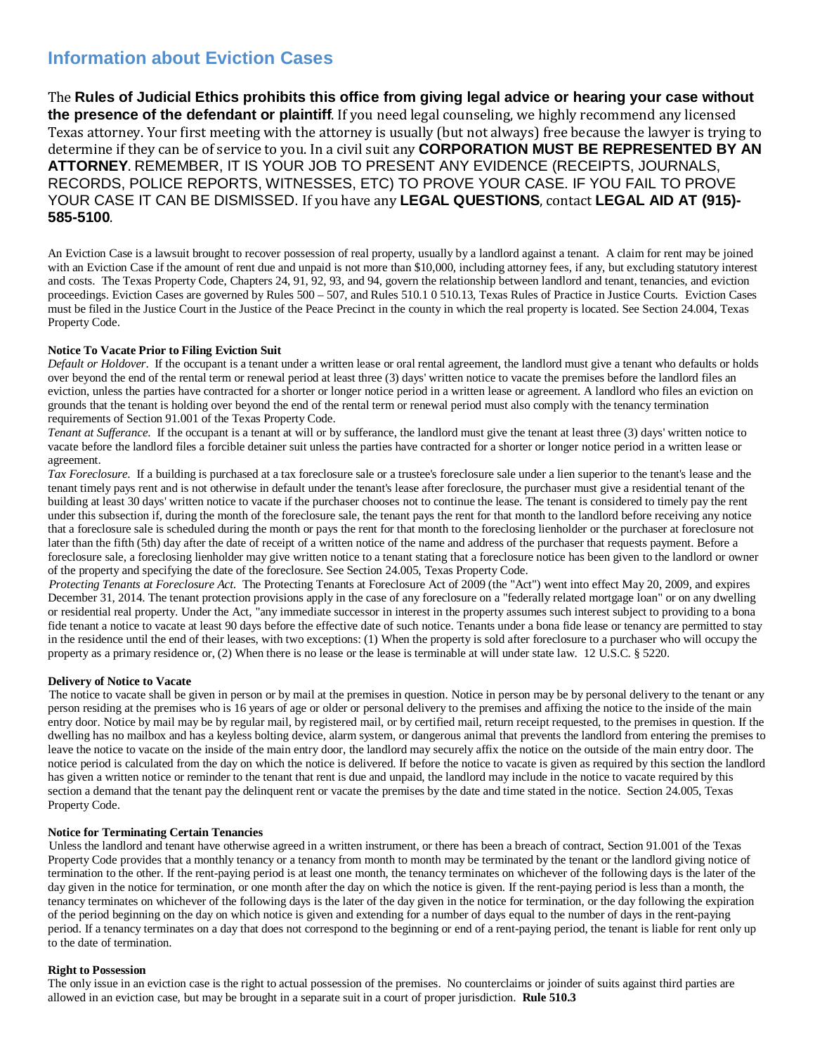# **Information about Eviction Cases**

The **Rules of Judicial Ethics prohibits this office from giving legal advice or hearing your case without the presence of the defendant or plaintiff**. If you need legal counseling, we highly recommend any licensed Texas attorney. Your first meeting with the attorney is usually (but not always) free because the lawyer is trying to determine if they can be of service to you. In a civil suit any **CORPORATION MUST BE REPRESENTED BY AN ATTORNEY**. REMEMBER, IT IS YOUR JOB TO PRESENT ANY EVIDENCE (RECEIPTS, JOURNALS, RECORDS, POLICE REPORTS, WITNESSES, ETC) TO PROVE YOUR CASE. IF YOU FAIL TO PROVE YOUR CASE IT CAN BE DISMISSED. If you have any **LEGAL QUESTIONS**, contact **LEGAL AID AT (915)- 585-5100**.

An Eviction Case is a lawsuit brought to recover possession of real property, usually by a landlord against a tenant. A claim for rent may be joined with an Eviction Case if the amount of rent due and unpaid is not more than \$10,000, including attorney fees, if any, but excluding statutory interest and costs. The Texas Property Code, Chapters 24, 91, 92, 93, and 94, govern the relationship between landlord and tenant, tenancies, and eviction proceedings. Eviction Cases are governed by Rules 500 – 507, and Rules 510.1 0 510.13, Texas Rules of Practice in Justice Courts. Eviction Cases must be filed in the Justice Court in the Justice of the Peace Precinct in the county in which the real property is located. See Section 24.004, Texas Property Code.

## **Notice To Vacate Prior to Filing Eviction Suit**

*Default or Holdover*. If the occupant is a tenant under a written lease or oral rental agreement, the landlord must give a tenant who defaults or holds over beyond the end of the rental term or renewal period at least three (3) days' written notice to vacate the premises before the landlord files an eviction, unless the parties have contracted for a shorter or longer notice period in a written lease or agreement. A landlord who files an eviction on grounds that the tenant is holding over beyond the end of the rental term or renewal period must also comply with the tenancy termination requirements of Section 91.001 of the Texas Property Code.

*Tenant at Sufferance*. If the occupant is a tenant at will or by sufferance, the landlord must give the tenant at least three (3) days' written notice to vacate before the landlord files a forcible detainer suit unless the parties have contracted for a shorter or longer notice period in a written lease or agreement.

*Tax Foreclosure*. If a building is purchased at a tax foreclosure sale or a trustee's foreclosure sale under a lien superior to the tenant's lease and the tenant timely pays rent and is not otherwise in default under the tenant's lease after foreclosure, the purchaser must give a residential tenant of the building at least 30 days' written notice to vacate if the purchaser chooses not to continue the lease. The tenant is considered to timely pay the rent under this subsection if, during the month of the foreclosure sale, the tenant pays the rent for that month to the landlord before receiving any notice that a foreclosure sale is scheduled during the month or pays the rent for that month to the foreclosing lienholder or the purchaser at foreclosure not later than the fifth (5th) day after the date of receipt of a written notice of the name and address of the purchaser that requests payment. Before a foreclosure sale, a foreclosing lienholder may give written notice to a tenant stating that a foreclosure notice has been given to the landlord or owner of the property and specifying the date of the foreclosure. See Section 24.005, Texas Property Code.

*Protecting Tenants at Foreclosure Act*. The Protecting Tenants at Foreclosure Act of 2009 (the "Act") went into effect May 20, 2009, and expires December 31, 2014. The tenant protection provisions apply in the case of any foreclosure on a "federally related mortgage loan" or on any dwelling or residential real property. Under the Act, "any immediate successor in interest in the property assumes such interest subject to providing to a bona fide tenant a notice to vacate at least 90 days before the effective date of such notice. Tenants under a bona fide lease or tenancy are permitted to stay in the residence until the end of their leases, with two exceptions: (1) When the property is sold after foreclosure to a purchaser who will occupy the property as a primary residence or, (2) When there is no lease or the lease is terminable at will under state law. 12 U.S.C. § 5220.

# **Delivery of Notice to Vacate**

The notice to vacate shall be given in person or by mail at the premises in question. Notice in person may be by personal delivery to the tenant or any person residing at the premises who is 16 years of age or older or personal delivery to the premises and affixing the notice to the inside of the main entry door. Notice by mail may be by regular mail, by registered mail, or by certified mail, return receipt requested, to the premises in question. If the dwelling has no mailbox and has a keyless bolting device, alarm system, or dangerous animal that prevents the landlord from entering the premises to leave the notice to vacate on the inside of the main entry door, the landlord may securely affix the notice on the outside of the main entry door. The notice period is calculated from the day on which the notice is delivered. If before the notice to vacate is given as required by this section the landlord has given a written notice or reminder to the tenant that rent is due and unpaid, the landlord may include in the notice to vacate required by this section a demand that the tenant pay the delinquent rent or vacate the premises by the date and time stated in the notice. Section 24.005, Texas Property Code.

# **Notice for Terminating Certain Tenancies**

Unless the landlord and tenant have otherwise agreed in a written instrument, or there has been a breach of contract, Section 91.001 of the Texas Property Code provides that a monthly tenancy or a tenancy from month to month may be terminated by the tenant or the landlord giving notice of termination to the other. If the rent-paying period is at least one month, the tenancy terminates on whichever of the following days is the later of the day given in the notice for termination, or one month after the day on which the notice is given. If the rent-paying period is less than a month, the tenancy terminates on whichever of the following days is the later of the day given in the notice for termination, or the day following the expiration of the period beginning on the day on which notice is given and extending for a number of days equal to the number of days in the rent-paying period. If a tenancy terminates on a day that does not correspond to the beginning or end of a rent-paying period, the tenant is liable for rent only up to the date of termination.

## **Right to Possession**

The only issue in an eviction case is the right to actual possession of the premises. No counterclaims or joinder of suits against third parties are allowed in an eviction case, but may be brought in a separate suit in a court of proper jurisdiction. **Rule 510.3**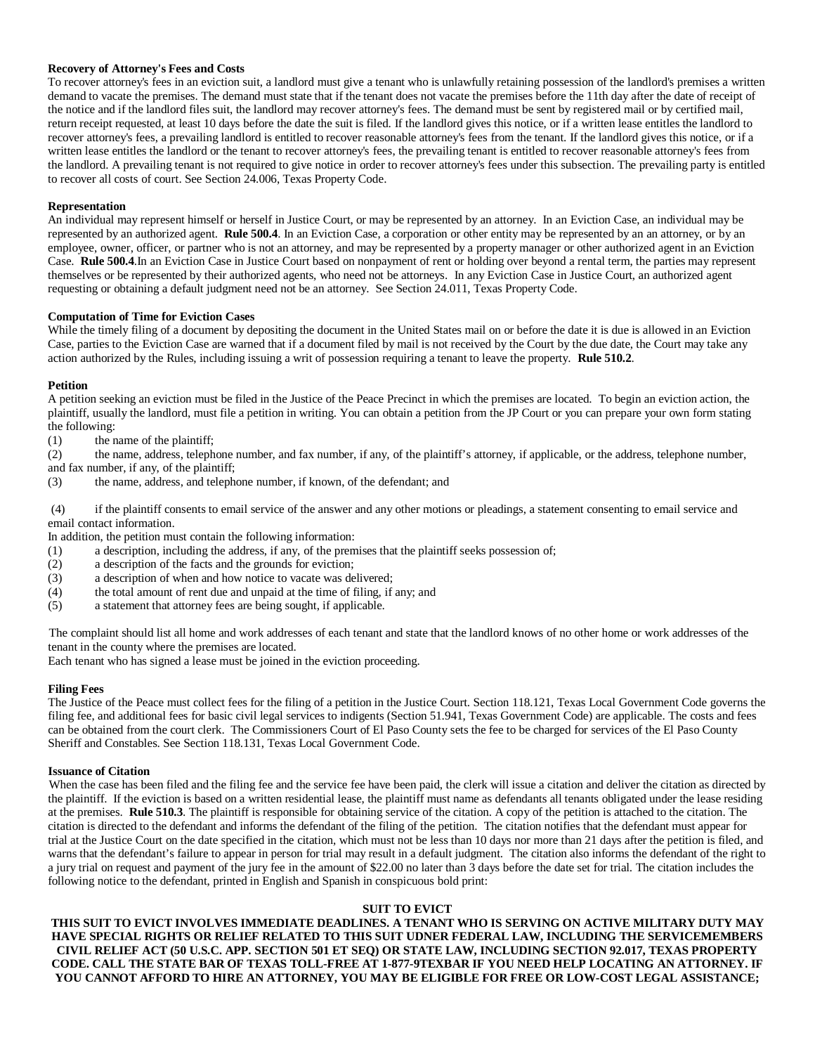# **Recovery of Attorney's Fees and Costs**

To recover attorney's fees in an eviction suit, a landlord must give a tenant who is unlawfully retaining possession of the landlord's premises a written demand to vacate the premises. The demand must state that if the tenant does not vacate the premises before the 11th day after the date of receipt of the notice and if the landlord files suit, the landlord may recover attorney's fees. The demand must be sent by registered mail or by certified mail, return receipt requested, at least 10 days before the date the suit is filed. If the landlord gives this notice, or if a written lease entitles the landlord to recover attorney's fees, a prevailing landlord is entitled to recover reasonable attorney's fees from the tenant. If the landlord gives this notice, or if a written lease entitles the landlord or the tenant to recover attorney's fees, the prevailing tenant is entitled to recover reasonable attorney's fees from the landlord. A prevailing tenant is not required to give notice in order to recover attorney's fees under this subsection. The prevailing party is entitled to recover all costs of court. See Section 24.006, Texas Property Code.

## **Representation**

An individual may represent himself or herself in Justice Court, or may be represented by an attorney. In an Eviction Case, an individual may be represented by an authorized agent. **Rule 500.4**. In an Eviction Case, a corporation or other entity may be represented by an an attorney, or by an employee, owner, officer, or partner who is not an attorney, and may be represented by a property manager or other authorized agent in an Eviction Case. **Rule 500.4**.In an Eviction Case in Justice Court based on nonpayment of rent or holding over beyond a rental term, the parties may represent themselves or be represented by their authorized agents, who need not be attorneys. In any Eviction Case in Justice Court, an authorized agent requesting or obtaining a default judgment need not be an attorney. See Section 24.011, Texas Property Code.

## **Computation of Time for Eviction Cases**

While the timely filing of a document by depositing the document in the United States mail on or before the date it is due is allowed in an Eviction Case, parties to the Eviction Case are warned that if a document filed by mail is not received by the Court by the due date, the Court may take any action authorized by the Rules, including issuing a writ of possession requiring a tenant to leave the property. **Rule 510.2**.

## **Petition**

A petition seeking an eviction must be filed in the Justice of the Peace Precinct in which the premises are located. To begin an eviction action, the plaintiff, usually the landlord, must file a petition in writing. You can obtain a petition from the JP Court or you can prepare your own form stating the following:

(1) the name of the plaintiff;

(2) the name, address, telephone number, and fax number, if any, of the plaintiff's attorney, if applicable, or the address, telephone number, and fax number, if any, of the plaintiff;

(3) the name, address, and telephone number, if known, of the defendant; and

(4) if the plaintiff consents to email service of the answer and any other motions or pleadings, a statement consenting to email service and email contact information.

In addition, the petition must contain the following information:

- (1) a description, including the address, if any, of the premises that the plaintiff seeks possession of;
- (2) a description of the facts and the grounds for eviction;
- (3) a description of when and how notice to vacate was delivered;<br>(4) the total amount of rent due and unpaid at the time of filing, if
- the total amount of rent due and unpaid at the time of filing, if any; and
- (5) a statement that attorney fees are being sought, if applicable.

The complaint should list all home and work addresses of each tenant and state that the landlord knows of no other home or work addresses of the tenant in the county where the premises are located.

Each tenant who has signed a lease must be joined in the eviction proceeding.

# **Filing Fees**

The Justice of the Peace must collect fees for the filing of a petition in the Justice Court. Section 118.121, Texas Local Government Code governs the filing fee, and additional fees for basic civil legal services to indigents (Section 51.941, Texas Government Code) are applicable. The costs and fees can be obtained from the court clerk. The Commissioners Court of El Paso County sets the fee to be charged for services of the El Paso County Sheriff and Constables. See Section 118.131, Texas Local Government Code.

## **Issuance of Citation**

When the case has been filed and the filing fee and the service fee have been paid, the clerk will issue a citation and deliver the citation as directed by the plaintiff. If the eviction is based on a written residential lease, the plaintiff must name as defendants all tenants obligated under the lease residing at the premises. **Rule 510.3**. The plaintiff is responsible for obtaining service of the citation. A copy of the petition is attached to the citation. The citation is directed to the defendant and informs the defendant of the filing of the petition. The citation notifies that the defendant must appear for trial at the Justice Court on the date specified in the citation, which must not be less than 10 days nor more than 21 days after the petition is filed, and warns that the defendant's failure to appear in person for trial may result in a default judgment. The citation also informs the defendant of the right to a jury trial on request and payment of the jury fee in the amount of \$22.00 no later than 3 days before the date set for trial. The citation includes the following notice to the defendant, printed in English and Spanish in conspicuous bold print:

## **SUIT TO EVICT**

**THIS SUIT TO EVICT INVOLVES IMMEDIATE DEADLINES. A TENANT WHO IS SERVING ON ACTIVE MILITARY DUTY MAY HAVE SPECIAL RIGHTS OR RELIEF RELATED TO THIS SUIT UDNER FEDERAL LAW, INCLUDING THE SERVICEMEMBERS CIVIL RELIEF ACT (50 U.S.C. APP. SECTION 501 ET SEQ) OR STATE LAW, INCLUDING SECTION 92.017, TEXAS PROPERTY CODE. CALL THE STATE BAR OF TEXAS TOLL-FREE AT 1-877-9TEXBAR IF YOU NEED HELP LOCATING AN ATTORNEY. IF YOU CANNOT AFFORD TO HIRE AN ATTORNEY, YOU MAY BE ELIGIBLE FOR FREE OR LOW-COST LEGAL ASSISTANCE;**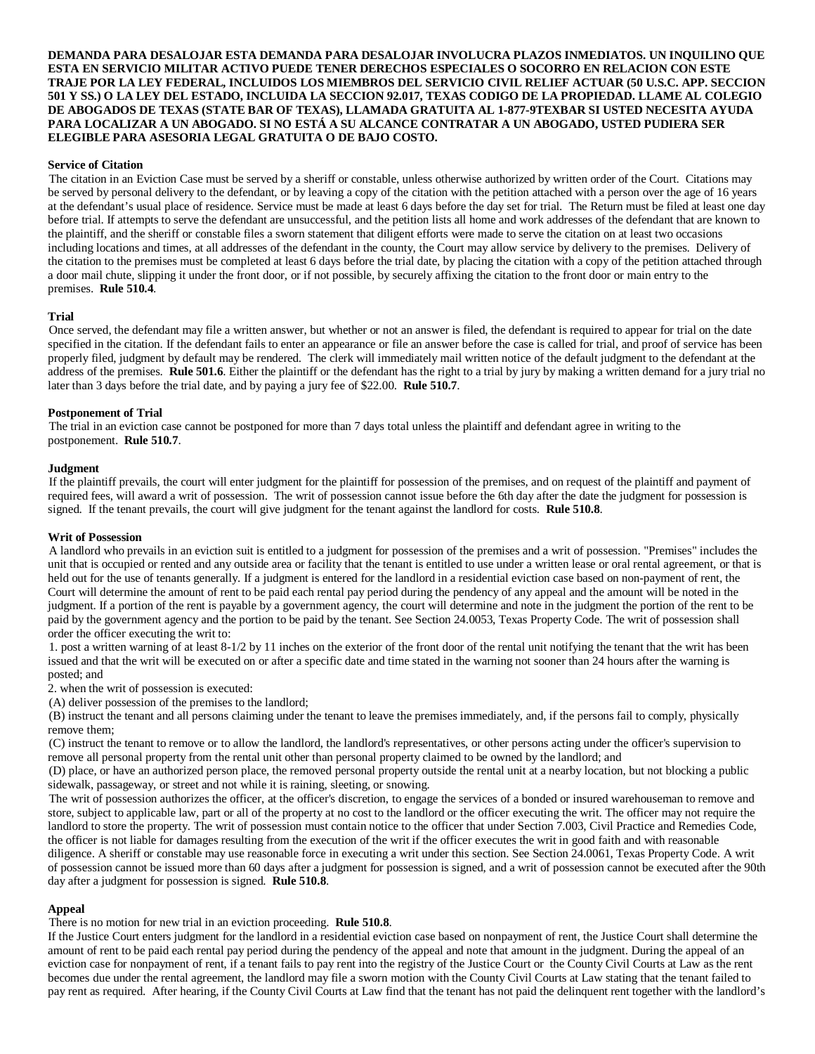**DEMANDA PARA DESALOJAR ESTA DEMANDA PARA DESALOJAR INVOLUCRA PLAZOS INMEDIATOS. UN INQUILINO QUE ESTA EN SERVICIO MILITAR ACTIVO PUEDE TENER DERECHOS ESPECIALES O SOCORRO EN RELACION CON ESTE TRAJE POR LA LEY FEDERAL, INCLUIDOS LOS MIEMBROS DEL SERVICIO CIVIL RELIEF ACTUAR (50 U.S.C. APP. SECCION 501 Y SS.) O LA LEY DEL ESTADO, INCLUIDA LA SECCION 92.017, TEXAS CODIGO DE LA PROPIEDAD. LLAME AL COLEGIO DE ABOGADOS DE TEXAS (STATE BAR OF TEXAS), LLAMADA GRATUITA AL 1-877-9TEXBAR SI USTED NECESITA AYUDA PARA LOCALIZAR A UN ABOGADO. SI NO ESTÁ A SU ALCANCE CONTRATAR A UN ABOGADO, USTED PUDIERA SER ELEGIBLE PARA ASESORIA LEGAL GRATUITA O DE BAJO COSTO.**

# **Service of Citation**

The citation in an Eviction Case must be served by a sheriff or constable, unless otherwise authorized by written order of the Court. Citations may be served by personal delivery to the defendant, or by leaving a copy of the citation with the petition attached with a person over the age of 16 years at the defendant's usual place of residence. Service must be made at least 6 days before the day set for trial. The Return must be filed at least one day before trial. If attempts to serve the defendant are unsuccessful, and the petition lists all home and work addresses of the defendant that are known to the plaintiff, and the sheriff or constable files a sworn statement that diligent efforts were made to serve the citation on at least two occasions including locations and times, at all addresses of the defendant in the county, the Court may allow service by delivery to the premises. Delivery of the citation to the premises must be completed at least 6 days before the trial date, by placing the citation with a copy of the petition attached through a door mail chute, slipping it under the front door, or if not possible, by securely affixing the citation to the front door or main entry to the premises. **Rule 510.4**.

## **Trial**

Once served, the defendant may file a written answer, but whether or not an answer is filed, the defendant is required to appear for trial on the date specified in the citation. If the defendant fails to enter an appearance or file an answer before the case is called for trial, and proof of service has been properly filed, judgment by default may be rendered. The clerk will immediately mail written notice of the default judgment to the defendant at the address of the premises. **Rule 501.6**. Either the plaintiff or the defendant has the right to a trial by jury by making a written demand for a jury trial no later than 3 days before the trial date, and by paying a jury fee of \$22.00. **Rule 510.7**.

## **Postponement of Trial**

The trial in an eviction case cannot be postponed for more than 7 days total unless the plaintiff and defendant agree in writing to the postponement. **Rule 510.7**.

## **Judgment**

If the plaintiff prevails, the court will enter judgment for the plaintiff for possession of the premises, and on request of the plaintiff and payment of required fees, will award a writ of possession. The writ of possession cannot issue before the 6th day after the date the judgment for possession is signed. If the tenant prevails, the court will give judgment for the tenant against the landlord for costs. **Rule 510.8**.

## **Writ of Possession**

A landlord who prevails in an eviction suit is entitled to a judgment for possession of the premises and a writ of possession. "Premises" includes the unit that is occupied or rented and any outside area or facility that the tenant is entitled to use under a written lease or oral rental agreement, or that is held out for the use of tenants generally. If a judgment is entered for the landlord in a residential eviction case based on non-payment of rent, the Court will determine the amount of rent to be paid each rental pay period during the pendency of any appeal and the amount will be noted in the judgment. If a portion of the rent is payable by a government agency, the court will determine and note in the judgment the portion of the rent to be paid by the government agency and the portion to be paid by the tenant. See Section 24.0053, Texas Property Code. The writ of possession shall order the officer executing the writ to:

1. post a written warning of at least 8-1/2 by 11 inches on the exterior of the front door of the rental unit notifying the tenant that the writ has been issued and that the writ will be executed on or after a specific date and time stated in the warning not sooner than 24 hours after the warning is posted; and

2. when the writ of possession is executed:

(A) deliver possession of the premises to the landlord;

(B) instruct the tenant and all persons claiming under the tenant to leave the premises immediately, and, if the persons fail to comply, physically remove them;

(C) instruct the tenant to remove or to allow the landlord, the landlord's representatives, or other persons acting under the officer's supervision to remove all personal property from the rental unit other than personal property claimed to be owned by the landlord; and

(D) place, or have an authorized person place, the removed personal property outside the rental unit at a nearby location, but not blocking a public sidewalk, passageway, or street and not while it is raining, sleeting, or snowing.

The writ of possession authorizes the officer, at the officer's discretion, to engage the services of a bonded or insured warehouseman to remove and store, subject to applicable law, part or all of the property at no cost to the landlord or the officer executing the writ. The officer may not require the landlord to store the property. The writ of possession must contain notice to the officer that under Section 7.003, Civil Practice and Remedies Code, the officer is not liable for damages resulting from the execution of the writ if the officer executes the writ in good faith and with reasonable diligence. A sheriff or constable may use reasonable force in executing a writ under this section. See Section 24.0061, Texas Property Code. A writ of possession cannot be issued more than 60 days after a judgment for possession is signed, and a writ of possession cannot be executed after the 90th day after a judgment for possession is signed. **Rule 510.8**.

## **Appeal**

There is no motion for new trial in an eviction proceeding. **Rule 510.8**.

If the Justice Court enters judgment for the landlord in a residential eviction case based on nonpayment of rent, the Justice Court shall determine the amount of rent to be paid each rental pay period during the pendency of the appeal and note that amount in the judgment. During the appeal of an eviction case for nonpayment of rent, if a tenant fails to pay rent into the registry of the Justice Court or the County Civil Courts at Law as the rent becomes due under the rental agreement, the landlord may file a sworn motion with the County Civil Courts at Law stating that the tenant failed to pay rent as required. After hearing, if the County Civil Courts at Law find that the tenant has not paid the delinquent rent together with the landlord's